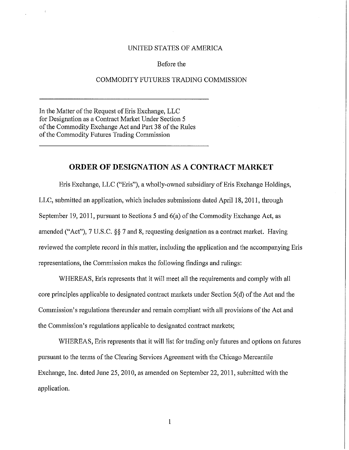## UNITED STATES OF AMERICA

## Before the

## COMMODITY FUTURES TRADING COMMISSION

In the Matter of the Request of Eris Exchange, LLC for Designation as a Contract Market Under Section 5 of the Commodity Exchange Act and Part 38 of the Rules of the Commodity Futures Trading Commission

## **ORDER OF DESIGNATION** AS A **CONTRACT MARKET**

Eris Exchange, LLC ("Eris"), a wholly-owned subsidiary of Eris Exchange Holdings, LLC, submitted an application, which includes submissions dated April 18, 2011, through September 19, 2011, pursuant to Sections 5 and  $6(a)$  of the Commodity Exchange Act, as amended ("Act"), 7 U,S,C, §§ 7 and 8, requesting designation as a contract market. Having reviewed the complete record in this matter, including the application and the accompanying Eris representations, the Commission makes the following findings and rulings:

WHEREAS, Eris represents that it will meet all the requirements and comply with all core principles applicable to designated contract markets under Section 5(d) ofthe Act and the Commission's regulations thereunder and remain compliant with all provisions of the Act and the Commission's regulations applicable to designated contract markets;

WHEREAS, Eris represents that it will list for trading only futures and options on futures pursuant to the terms ofthe Clearing Services Agreement with the Chicago Mercantile Exchange, Inc, dated June 25, 2010, as amended on September 22, 2011, submitted with the application,

1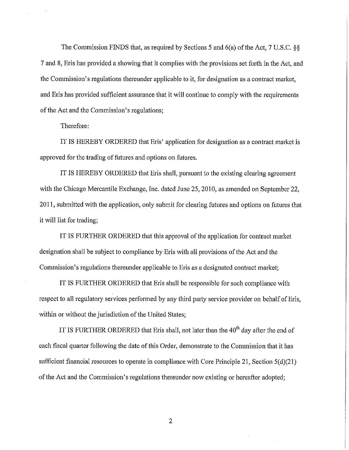The Commission FINDS that, as required by Sections 5 and 6(a) of the Act, 7 U.S.C. §§ 7 and 8, Eris has provided a showing that it complies with the provisions set forth in the Act, and the Commission's regulations thereunder applicable to it, for designation as a contract market, and Eris has provided sufficient assurance that it will continue to comply with the requirements of the Act and the Commission's regulations;

Therefore:

IT IS HEREBY ORDERED that Eris' application for designation as a contract market is approved for the trading of futures and options on futures.

IT IS HEREBY ORDERED that Eris shall, pursuant to the existing clearing agreement with the Chicago Mercantile Exchange, Inc. dated June 25, 2010, as amended on September 22, 2011, submitted with the application, only submit for clearing futures and options on futures that it will list for trading;

IT IS FURTHER ORDERED that this approval of the application for contract market designation shall be subject to compliance by Eris with all provisions of the Act and the Commission's regulations thereunder applicable to Eris as a designated contract market;

IT IS FURTHER ORDERED that Eris shall be responsible for such compliance with respect to all regulatory services performed by any third party service provider on behalf of Eris, within or without the jurisdiction of the United States;

IT IS FURTHER ORDERED that Eris shall, not later than the  $40<sup>th</sup>$  day after the end of each fiscal quarter following the date of this Order, demonstrate to the Commission that it has sufficient financial resources to operate in compliance with Core Principle 21, Section 5(d)(21) of the Act and the Commission's regulations thereunder now existing or hereafter adopted;

2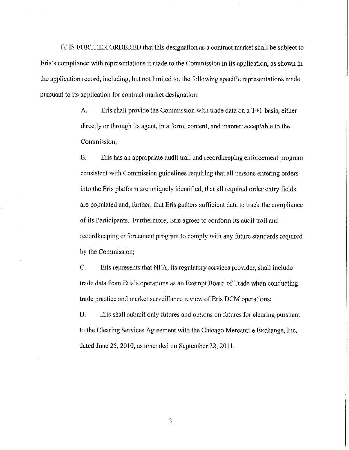IT IS FURTHER ORDERED that this designation as a contract market shall be subject to Eris's compliance with representations it made to the Commission in its application, as shown in the application record, including, but not limited to, the following specific representations made pursuant to its application for contract market designation:

> A. Eris shall provide the Commission with trade data on a T+1 basis, either directly or through its agent, in a form, content, and manner acceptable to the Commission;

B. Eris has an appropriate audit trail and recordkeeping enforcement program consistent with Commission guidelines requiring that all persons entering orders into the Eris platform are uniquely identified, that all required order entry fields are populated and, further, that Eris gathers sufficient data to track the compliance of its Participants. Furthermore, Eris agrees to conform its audit trail and recordkeeping enforcement program to comply with any future standards required by the Commission;

C. Eris represents that NFA, its regulatory services provider, shall include trade data from Eris's operations as an Exempt Board ofTrade when conducting trade practice and market surveillance review of Eris DCM operations;

D. Eris shall submit only futures and options on futures for clearing pursuant to the Clearing Services Agreement with the Chicago Mercantile Exchange, Inc. dated June 25, 2010, as amended on September 22, 2011.

3